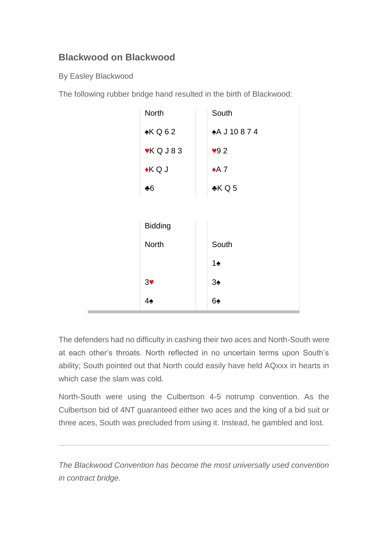## **Blackwood on Blackwood**

By Easley Blackwood

The following rubber bridge hand resulted in the birth of Blackwood:

| <b>North</b>       | South          |
|--------------------|----------------|
| KQ62               | <b>AJ10874</b> |
| $\mathsf{v}$ KQJ83 | 92             |
| $\star$ K Q J      | $\triangle$ 7  |
| $*6$               | KQ5            |
|                    |                |
| <b>Bidding</b>     |                |
| <b>North</b>       | South          |
|                    | $1\spadesuit$  |
| 3 <sub>Y</sub>     | $3\spadesuit$  |
| $4\spadesuit$      | 6♠             |

The defenders had no difficulty in cashing their two aces and North-South were at each other's throats. North reflected in no uncertain terms upon South's ability; South pointed out that North could easily have held AQxxx in hearts in which case the slam was cold.

North-South were using the Culbertson 4-5 notrump convention. As the Culbertson bid of 4NT guaranteed either two aces and the king of a bid suit or three aces, South was precluded from using it. Instead, he gambled and lost.

*The Blackwood Convention has become the most universally used convention in contract bridge.*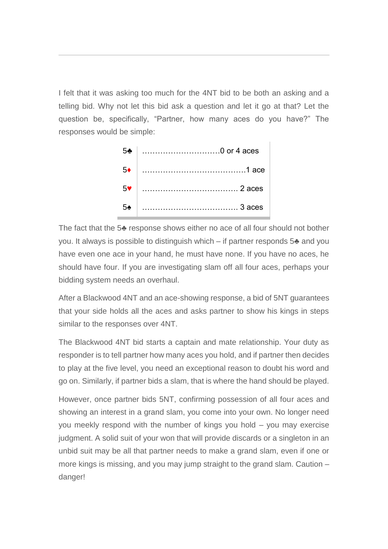I felt that it was asking too much for the 4NT bid to be both an asking and a telling bid. Why not let this bid ask a question and let it go at that? Let the question be, specifically, "Partner, how many aces do you have?" The responses would be simple:



The fact that the 5♣ response shows either no ace of all four should not bother you. It always is possible to distinguish which – if partner responds 5♣ and you have even one ace in your hand, he must have none. If you have no aces, he should have four. If you are investigating slam off all four aces, perhaps your bidding system needs an overhaul.

After a Blackwood 4NT and an ace-showing response, a bid of 5NT guarantees that your side holds all the aces and asks partner to show his kings in steps similar to the responses over 4NT.

The Blackwood 4NT bid starts a captain and mate relationship. Your duty as responder is to tell partner how many aces you hold, and if partner then decides to play at the five level, you need an exceptional reason to doubt his word and go on. Similarly, if partner bids a slam, that is where the hand should be played.

However, once partner bids 5NT, confirming possession of all four aces and showing an interest in a grand slam, you come into your own. No longer need you meekly respond with the number of kings you hold – you may exercise judgment. A solid suit of your won that will provide discards or a singleton in an unbid suit may be all that partner needs to make a grand slam, even if one or more kings is missing, and you may jump straight to the grand slam. Caution – danger!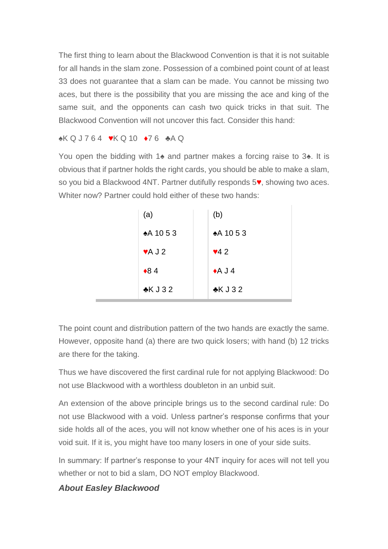The first thing to learn about the Blackwood Convention is that it is not suitable for all hands in the slam zone. Possession of a combined point count of at least 33 does not guarantee that a slam can be made. You cannot be missing two aces, but there is the possibility that you are missing the ace and king of the same suit, and the opponents can cash two quick tricks in that suit. The Blackwood Convention will not uncover this fact. Consider this hand:

## ♠K Q J 7 6 4 ♥K Q 10 ♦7 6 ♣A Q

You open the bidding with 1♠ and partner makes a forcing raise to 3♠. It is obvious that if partner holds the right cards, you should be able to make a slam, so you bid a Blackwood 4NT. Partner dutifully responds 5♥, showing two aces. Whiter now? Partner could hold either of these two hands:

| (a)                         | (b)         |
|-----------------------------|-------------|
| $*A$ 10 5 3                 | $*A$ 10 5 3 |
| $\blacktriangleright$ A J 2 | $\sqrt{42}$ |
| $*84$                       | $A$ J 4     |
| KJ32                        | $\&$ KJ32   |

The point count and distribution pattern of the two hands are exactly the same. However, opposite hand (a) there are two quick losers; with hand (b) 12 tricks are there for the taking.

Thus we have discovered the first cardinal rule for not applying Blackwood: Do not use Blackwood with a worthless doubleton in an unbid suit.

An extension of the above principle brings us to the second cardinal rule: Do not use Blackwood with a void. Unless partner's response confirms that your side holds all of the aces, you will not know whether one of his aces is in your void suit. If it is, you might have too many losers in one of your side suits.

In summary: If partner's response to your 4NT inquiry for aces will not tell you whether or not to bid a slam, DO NOT employ Blackwood.

## *About Easley Blackwood*